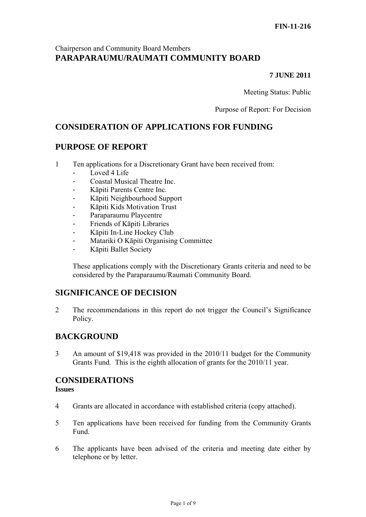# Chairperson and Community Board Members **PARAPARAUMU/RAUMATI COMMUNITY BOARD**

## **7 JUNE 2011**

Meeting Status: Public

Purpose of Report: For Decision

# **CONSIDERATION OF APPLICATIONS FOR FUNDING**

# **PURPOSE OF REPORT**

- 1 Ten applications for a Discretionary Grant have been received from:
	- Loved 4 Life
	- Coastal Musical Theatre Inc.
	- Kāpiti Parents Centre Inc.
	- Kāpiti Neighbourhood Support
	- Kāpiti Kids Motivation Trust
	- Paraparaumu Playcentre
	- Friends of Kāpiti Libraries
	- Kāpiti In-Line Hockey Club
	- Matariki O Kāpiti Organising Committee
	- Kāpiti Ballet Society

These applications comply with the Discretionary Grants criteria and need to be considered by the Paraparaumu/Raumati Community Board.

# **SIGNIFICANCE OF DECISION**

2 The recommendations in this report do not trigger the Council's Significance Policy.

# **BACKGROUND**

3 An amount of \$19,418 was provided in the 2010/11 budget for the Community Grants Fund. This is the eighth allocation of grants for the 2010/11 year.

# **CONSIDERATIONS**

### **Issues**

- 4 Grants are allocated in accordance with established criteria (copy attached).
- 5 Ten applications have been received for funding from the Community Grants Fund.
- 6 The applicants have been advised of the criteria and meeting date either by telephone or by letter.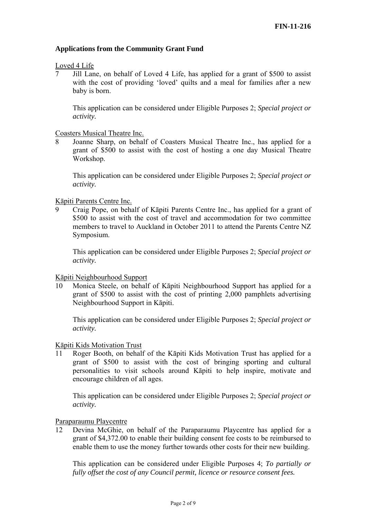### **Applications from the Community Grant Fund**

#### Loved 4 Life

7 Jill Lane, on behalf of Loved 4 Life, has applied for a grant of \$500 to assist with the cost of providing 'loved' quilts and a meal for families after a new baby is born.

This application can be considered under Eligible Purposes 2; *Special project or activity.* 

#### Coasters Musical Theatre Inc.

8 Joanne Sharp, on behalf of Coasters Musical Theatre Inc., has applied for a grant of \$500 to assist with the cost of hosting a one day Musical Theatre Workshop.

This application can be considered under Eligible Purposes 2; *Special project or activity.* 

Kāpiti Parents Centre Inc.

9 Craig Pope, on behalf of Kāpiti Parents Centre Inc., has applied for a grant of \$500 to assist with the cost of travel and accommodation for two committee members to travel to Auckland in October 2011 to attend the Parents Centre NZ Symposium.

This application can be considered under Eligible Purposes 2; *Special project or activity.* 

Kāpiti Neighbourhood Support

10 Monica Steele, on behalf of Kāpiti Neighbourhood Support has applied for a grant of \$500 to assist with the cost of printing 2,000 pamphlets advertising Neighbourhood Support in Kāpiti.

This application can be considered under Eligible Purposes 2; *Special project or activity.* 

#### Kāpiti Kids Motivation Trust

11 Roger Booth, on behalf of the Kāpiti Kids Motivation Trust has applied for a grant of \$500 to assist with the cost of bringing sporting and cultural personalities to visit schools around Kāpiti to help inspire, motivate and encourage children of all ages.

This application can be considered under Eligible Purposes 2; *Special project or activity.* 

#### Paraparaumu Playcentre

12 Devina McGhie, on behalf of the Paraparaumu Playcentre has applied for a grant of \$4,372.00 to enable their building consent fee costs to be reimbursed to enable them to use the money further towards other costs for their new building.

This application can be considered under Eligible Purposes 4; *To partially or fully offset the cost of any Council permit, licence or resource consent fees.*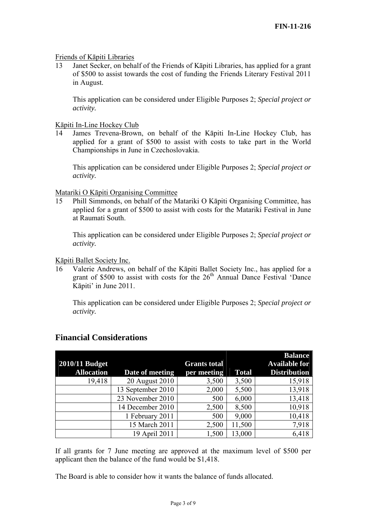#### Friends of Kāpiti Libraries

13 Janet Secker, on behalf of the Friends of Kāpiti Libraries, has applied for a grant of \$500 to assist towards the cost of funding the Friends Literary Festival 2011 in August.

This application can be considered under Eligible Purposes 2; *Special project or activity.* 

#### Kāpiti In-Line Hockey Club

14 James Trevena-Brown, on behalf of the Kāpiti In-Line Hockey Club, has applied for a grant of \$500 to assist with costs to take part in the World Championships in June in Czechoslovakia.

This application can be considered under Eligible Purposes 2; *Special project or activity.* 

Matariki O Kāpiti Organising Committee

15 Phill Simmonds, on behalf of the Matariki O Kāpiti Organising Committee, has applied for a grant of \$500 to assist with costs for the Matariki Festival in June at Raumati South.

This application can be considered under Eligible Purposes 2; *Special project or activity.* 

Kāpiti Ballet Society Inc.

16 Valerie Andrews, on behalf of the Kāpiti Ballet Society Inc., has applied for a grant of \$500 to assist with costs for the  $26<sup>th</sup>$  Annual Dance Festival 'Dance Kāpiti' in June 2011.

This application can be considered under Eligible Purposes 2; *Special project or activity.* 

|                   |                   |                     |              | <b>Balance</b>       |
|-------------------|-------------------|---------------------|--------------|----------------------|
| 2010/11 Budget    |                   | <b>Grants total</b> |              | <b>Available for</b> |
| <b>Allocation</b> | Date of meeting   | per meeting         | <b>Total</b> | <b>Distribution</b>  |
| 19,418            | 20 August 2010    | 3,500               | 3,500        | 15,918               |
|                   | 13 September 2010 | 2,000               | 5,500        | 13,918               |
|                   | 23 November 2010  | 500                 | 6,000        | 13,418               |
|                   | 14 December 2010  | 2,500               | 8,500        | 10,918               |
|                   | 1 February 2011   | 500                 | 9,000        | 10,418               |
|                   | 15 March 2011     | 2,500               | 11,500       | 7,918                |
|                   | 19 April 2011     | 1,500               | 13,000       | 6,418                |

## **Financial Considerations**

If all grants for 7 June meeting are approved at the maximum level of \$500 per applicant then the balance of the fund would be \$1,418.

The Board is able to consider how it wants the balance of funds allocated.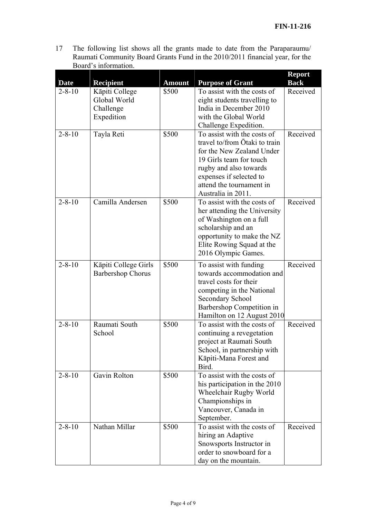17 The following list shows all the grants made to date from the Paraparaumu/ Raumati Community Board Grants Fund in the 2010/2011 financial year, for the Board's information.

| <b>Date</b>  | <b>Recipient</b>         | <b>Amount</b> | <b>Purpose of Grant</b>                                 | <b>Report</b><br><b>Back</b> |
|--------------|--------------------------|---------------|---------------------------------------------------------|------------------------------|
| $2 - 8 - 10$ | Kāpiti College           | \$500         | To assist with the costs of                             | Received                     |
|              | Global World             |               | eight students travelling to                            |                              |
|              | Challenge                |               | India in December 2010                                  |                              |
|              | Expedition               |               | with the Global World                                   |                              |
|              |                          |               | Challenge Expedition.                                   |                              |
| $2 - 8 - 10$ | Tayla Reti               | \$500         | To assist with the costs of                             | Received                     |
|              |                          |               | travel to/from Ōtaki to train                           |                              |
|              |                          |               | for the New Zealand Under                               |                              |
|              |                          |               | 19 Girls team for touch                                 |                              |
|              |                          |               | rugby and also towards                                  |                              |
|              |                          |               | expenses if selected to                                 |                              |
|              |                          |               | attend the tournament in                                |                              |
|              |                          |               | Australia in 2011.                                      |                              |
| $2 - 8 - 10$ | Camilla Andersen         | \$500         | To assist with the costs of                             | Received                     |
|              |                          |               | her attending the University                            |                              |
|              |                          |               | of Washington on a full                                 |                              |
|              |                          |               | scholarship and an                                      |                              |
|              |                          |               | opportunity to make the NZ                              |                              |
|              |                          |               | Elite Rowing Squad at the                               |                              |
|              |                          |               | 2016 Olympic Games.                                     |                              |
| $2 - 8 - 10$ | Kāpiti College Girls     | \$500         | To assist with funding                                  | Received                     |
|              | <b>Barbershop Chorus</b> |               | towards accommodation and                               |                              |
|              |                          |               | travel costs for their                                  |                              |
|              |                          |               | competing in the National                               |                              |
|              |                          |               | <b>Secondary School</b>                                 |                              |
|              |                          |               | Barbershop Competition in                               |                              |
|              |                          |               | Hamilton on 12 August 2010                              |                              |
| $2 - 8 - 10$ | Raumati South            | \$500         | To assist with the costs of                             | Received                     |
|              | School                   |               | continuing a revegetation                               |                              |
|              |                          |               | project at Raumati South                                |                              |
|              |                          |               | School, in partnership with                             |                              |
|              |                          |               | Kāpiti-Mana Forest and                                  |                              |
| $2 - 8 - 10$ |                          |               | Bird.<br>To assist with the costs of                    |                              |
|              | Gavin Rolton             | \$500         |                                                         |                              |
|              |                          |               | his participation in the 2010<br>Wheelchair Rugby World |                              |
|              |                          |               | Championships in                                        |                              |
|              |                          |               | Vancouver, Canada in                                    |                              |
|              |                          |               | September.                                              |                              |
| $2 - 8 - 10$ | Nathan Millar            | \$500         | To assist with the costs of                             | Received                     |
|              |                          |               | hiring an Adaptive                                      |                              |
|              |                          |               | Snowsports Instructor in                                |                              |
|              |                          |               | order to snowboard for a                                |                              |
|              |                          |               | day on the mountain.                                    |                              |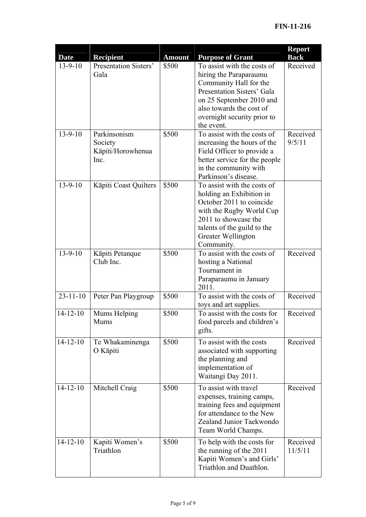| <b>Date</b>    | <b>Recipient</b>                                     | <b>Amount</b> | <b>Purpose of Grant</b>                                                                                                                                                                                            | <b>Report</b><br><b>Back</b> |
|----------------|------------------------------------------------------|---------------|--------------------------------------------------------------------------------------------------------------------------------------------------------------------------------------------------------------------|------------------------------|
| $13 - 9 - 10$  | Presentation Sisters'<br>Gala                        | \$500         | To assist with the costs of<br>hiring the Paraparaumu<br>Community Hall for the<br>Presentation Sisters' Gala<br>on 25 September 2010 and<br>also towards the cost of<br>overnight security prior to<br>the event. | Received                     |
| $13 - 9 - 10$  | Parkinsonism<br>Society<br>Kāpiti/Horowhenua<br>Inc. | \$500         | To assist with the costs of<br>increasing the hours of the<br>Field Officer to provide a<br>better service for the people<br>in the community with<br>Parkinson's disease.                                         | Received<br>9/5/11           |
| $13 - 9 - 10$  | Kāpiti Coast Quilters                                | \$500         | To assist with the costs of<br>holding an Exhibition in<br>October 2011 to coincide<br>with the Rugby World Cup<br>2011 to showcase the<br>talents of the guild to the<br>Greater Wellington<br>Community.         |                              |
| $13 - 9 - 10$  | Kāpiti Petanque<br>Club Inc.                         | \$500         | To assist with the costs of<br>hosting a National<br>Tournament in<br>Paraparaumu in January<br>2011.                                                                                                              | Received                     |
| $23 - 11 - 10$ | Peter Pan Playgroup                                  | \$500         | To assist with the costs of<br>toys and art supplies.                                                                                                                                                              | Received                     |
| $14 - 12 - 10$ | Mums Helping<br>Mums                                 | \$500         | To assist with the costs for<br>food parcels and children's<br>gifts.                                                                                                                                              | Received                     |
| $14 - 12 - 10$ | Te Whakaminenga<br>O Kāpiti                          | \$500         | To assist with the costs<br>associated with supporting<br>the planning and<br>implementation of<br>Waitangi Day 2011.                                                                                              | Received                     |
| $14 - 12 - 10$ | Mitchell Craig                                       | \$500         | To assist with travel<br>expenses, training camps,<br>training fees and equipment<br>for attendance to the New<br>Zealand Junior Taekwondo<br>Team World Champs.                                                   | Received                     |
| $14 - 12 - 10$ | Kapiti Women's<br>Triathlon                          | \$500         | To help with the costs for<br>the running of the 2011<br>Kapiti Women's and Girls'<br>Triathlon and Duathlon.                                                                                                      | Received<br>11/5/11          |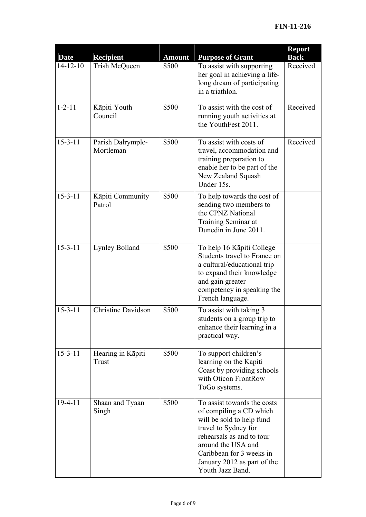| <b>Date</b>    | <b>Recipient</b>               | <b>Amount</b> | <b>Purpose of Grant</b>                                                                                                                                                                                                                       | <b>Report</b><br><b>Back</b> |
|----------------|--------------------------------|---------------|-----------------------------------------------------------------------------------------------------------------------------------------------------------------------------------------------------------------------------------------------|------------------------------|
| $14 - 12 - 10$ | Trish McQueen                  | \$500         | To assist with supporting<br>her goal in achieving a life-<br>long dream of participating<br>in a triathlon.                                                                                                                                  | Received                     |
| $1 - 2 - 11$   | Kāpiti Youth<br>Council        | \$500         | To assist with the cost of<br>running youth activities at<br>the YouthFest 2011.                                                                                                                                                              | Received                     |
| $15 - 3 - 11$  | Parish Dalrymple-<br>Mortleman | \$500         | To assist with costs of<br>travel, accommodation and<br>training preparation to<br>enable her to be part of the<br>New Zealand Squash<br>Under 15s.                                                                                           | Received                     |
| $15 - 3 - 11$  | Kāpiti Community<br>Patrol     | \$500         | To help towards the cost of<br>sending two members to<br>the CPNZ National<br>Training Seminar at<br>Dunedin in June 2011.                                                                                                                    |                              |
| $15 - 3 - 11$  | <b>Lynley Bolland</b>          | \$500         | To help 16 Kāpiti College<br>Students travel to France on<br>a cultural/educational trip<br>to expand their knowledge<br>and gain greater<br>competency in speaking the<br>French language.                                                   |                              |
| $15 - 3 - 11$  | Christine Davidson             | \$500         | To assist with taking 3<br>students on a group trip to<br>enhance their learning in a<br>practical way.                                                                                                                                       |                              |
| $15 - 3 - 11$  | Hearing in Kāpiti<br>Trust     | \$500         | To support children's<br>learning on the Kapiti<br>Coast by providing schools<br>with Oticon FrontRow<br>ToGo systems.                                                                                                                        |                              |
| $19-4-11$      | Shaan and Tyaan<br>Singh       | \$500         | To assist towards the costs<br>of compiling a CD which<br>will be sold to help fund<br>travel to Sydney for<br>rehearsals as and to tour<br>around the USA and<br>Caribbean for 3 weeks in<br>January 2012 as part of the<br>Youth Jazz Band. |                              |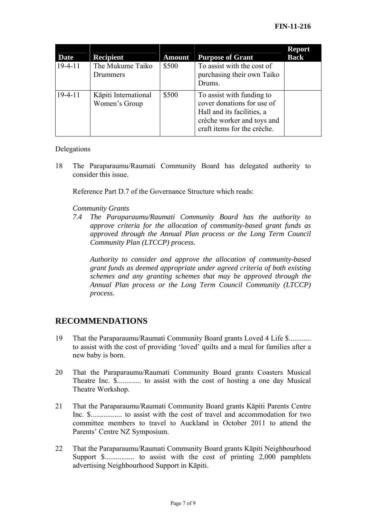| <b>Date</b> | <b>Recipient</b>                      | <b>Amount</b> | <b>Purpose of Grant</b>                                                                                                                            | <b>Report</b><br><b>Back</b> |
|-------------|---------------------------------------|---------------|----------------------------------------------------------------------------------------------------------------------------------------------------|------------------------------|
| $19-4-11$   | The Mukume Taiko<br>Drummers          | \$500         | To assist with the cost of<br>purchasing their own Taiko<br>Drums.                                                                                 |                              |
| $19-4-11$   | Kāpiti International<br>Women's Group | \$500         | To assist with funding to<br>cover donations for use of<br>Hall and its facilities, a<br>crèche worker and toys and<br>craft items for the crèche. |                              |

#### Delegations

18 The Paraparaumu/Raumati Community Board has delegated authority to consider this issue.

Reference Part D.7 of the Governance Structure which reads:

#### *Community Grants*

*7.4 The Paraparaumu/Raumati Community Board has the authority to approve criteria for the allocation of community-based grant funds as approved through the Annual Plan process or the Long Term Council Community Plan (LTCCP) process.* 

*Authority to consider and approve the allocation of community-based grant funds as deemed appropriate under agreed criteria of both existing schemes and any granting schemes that may be approved through the Annual Plan process or the Long Term Council Community (LTCCP) process.* 

# **RECOMMENDATIONS**

- 19 That the Paraparaumu/Raumati Community Board grants Loved 4 Life \$............ to assist with the cost of providing 'loved' quilts and a meal for families after a new baby is born.
- 20 That the Paraparaumu/Raumati Community Board grants Coasters Musical Theatre Inc. \$............. to assist with the cost of hosting a one day Musical Theatre Workshop.
- 21 That the Paraparaumu/Raumati Community Board grants Kāpiti Parents Centre Inc. \$................. to assist with the cost of travel and accommodation for two committee members to travel to Auckland in October 2011 to attend the Parents' Centre NZ Symposium.
- 22 That the Paraparaumu/Raumati Community Board grants Kāpiti Neighbourhood Support \$................ to assist with the cost of printing 2,000 pamphlets advertising Neighbourhood Support in Kāpiti.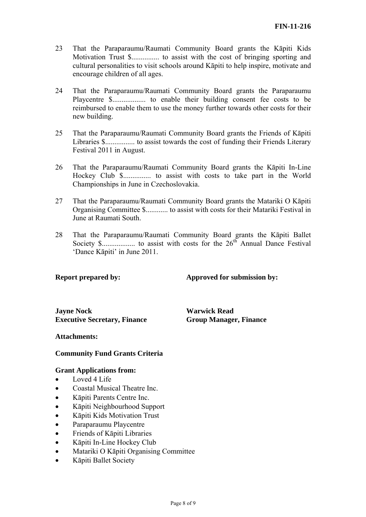- 23 That the Paraparaumu/Raumati Community Board grants the Kāpiti Kids Motivation Trust \$............... to assist with the cost of bringing sporting and cultural personalities to visit schools around Kāpiti to help inspire, motivate and encourage children of all ages.
- 24 That the Paraparaumu/Raumati Community Board grants the Paraparaumu Playcentre \$.................. to enable their building consent fee costs to be reimbursed to enable them to use the money further towards other costs for their new building.
- 25 That the Paraparaumu/Raumati Community Board grants the Friends of Kāpiti Libraries \$................ to assist towards the cost of funding their Friends Literary Festival 2011 in August.
- 26 That the Paraparaumu/Raumati Community Board grants the Kāpiti In-Line Hockey Club \$............... to assist with costs to take part in the World Championships in June in Czechoslovakia.
- 27 That the Paraparaumu/Raumati Community Board grants the Matariki O Kāpiti Organising Committee \$............ to assist with costs for their Matariki Festival in June at Raumati South.
- 28 That the Paraparaumu/Raumati Community Board grants the Kāpiti Ballet Society \$.................. to assist with costs for the 26th Annual Dance Festival 'Dance Kāpiti' in June 2011.

**Report prepared by:** Approved for submission by:

**Jayne Nock Warwick Read Executive Secretary, Finance Group Manager, Finance** 

#### **Attachments:**

## **Community Fund Grants Criteria**

### **Grant Applications from:**

- Loved 4 Life
- Coastal Musical Theatre Inc.
- Kāpiti Parents Centre Inc.
- Kāpiti Neighbourhood Support
- Kāpiti Kids Motivation Trust
- Paraparaumu Playcentre
- Friends of Kāpiti Libraries
- Kāpiti In-Line Hockey Club
- Matariki O Kāpiti Organising Committee
- Kāpiti Ballet Society